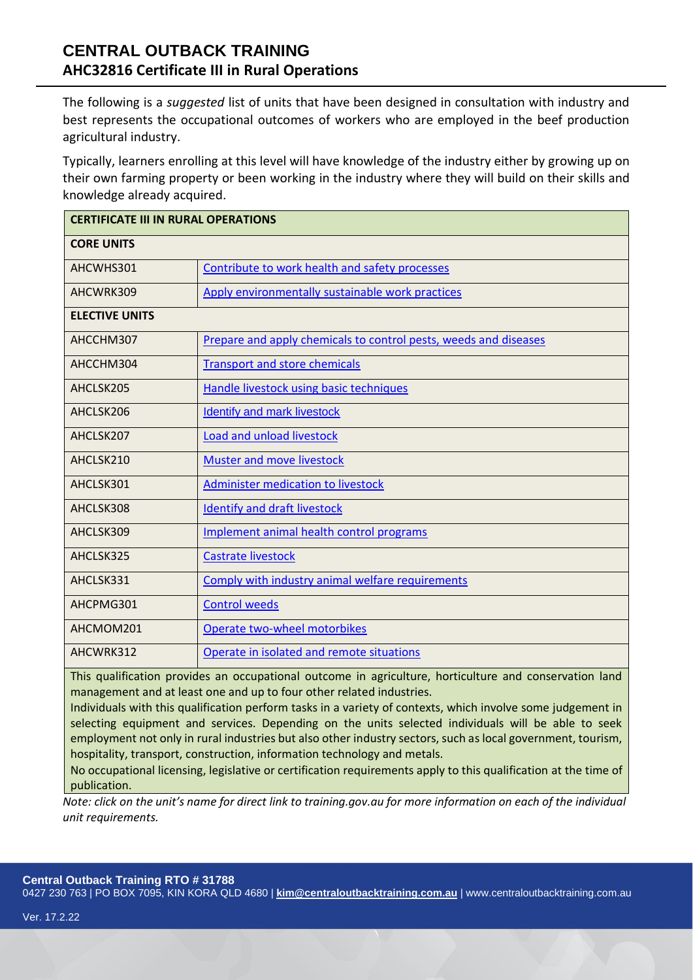# **CENTRAL OUTBACK TRAINING AHC32816 Certificate III in Rural Operations**

The following is a *suggested* list of units that have been designed in consultation with industry and best represents the occupational outcomes of workers who are employed in the beef production agricultural industry.

Typically, learners enrolling at this level will have knowledge of the industry either by growing up on their own farming property or been working in the industry where they will build on their skills and knowledge already acquired.

| <b>CERTIFICATE III IN RURAL OPERATIONS</b> |                                                                  |
|--------------------------------------------|------------------------------------------------------------------|
| <b>CORE UNITS</b>                          |                                                                  |
| AHCWHS301                                  | Contribute to work health and safety processes                   |
| AHCWRK309                                  | Apply environmentally sustainable work practices                 |
| <b>ELECTIVE UNITS</b>                      |                                                                  |
| AHCCHM307                                  | Prepare and apply chemicals to control pests, weeds and diseases |
| AHCCHM304                                  | <b>Transport and store chemicals</b>                             |
| AHCLSK205                                  | <b>Handle livestock using basic techniques</b>                   |
| AHCLSK206                                  | <b>Identify and mark livestock</b>                               |
| AHCLSK207                                  | <b>Load and unload livestock</b>                                 |
| AHCLSK210                                  | Muster and move livestock                                        |
| AHCLSK301                                  | <b>Administer medication to livestock</b>                        |
| AHCLSK308                                  | <b>Identify and draft livestock</b>                              |
| AHCLSK309                                  | Implement animal health control programs                         |
| AHCLSK325                                  | <b>Castrate livestock</b>                                        |
| AHCLSK331                                  | Comply with industry animal welfare requirements                 |
| AHCPMG301                                  | <b>Control weeds</b>                                             |
| AHCMOM201                                  | Operate two-wheel motorbikes                                     |
| AHCWRK312                                  | Operate in isolated and remote situations                        |

This qualification provides an occupational outcome in agriculture, horticulture and conservation land management and at least one and up to four other related industries.

Individuals with this qualification perform tasks in a variety of contexts, which involve some judgement in selecting equipment and services. Depending on the units selected individuals will be able to seek employment not only in rural industries but also other industry sectors, such as local government, tourism, hospitality, transport, construction, information technology and metals.

No occupational licensing, legislative or certification requirements apply to this qualification at the time of publication.

*Note: click on the unit's name for direct link to training.gov.au for more information on each of the individual unit requirements.*

#### **Central Outback Training RTO # 31788**

0427 230 763 | PO BOX 7095, KIN KORA QLD 4680 | **[kim@centraloutbacktraining.com.au](mailto:kim@centraloutbacktraining.com.au)** | www.centraloutbacktraining.com.au